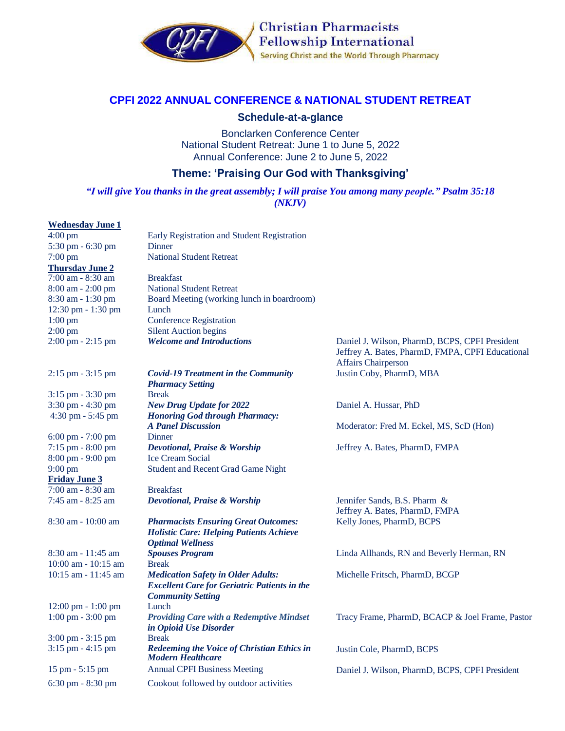

**Christian Pharmacists Fellowship International** Serving Christ and the World Through Pharmacy

## **CPFI 2022 ANNUAL CONFERENCE & NATIONAL STUDENT RETREAT**

## **Schedule-at-a-glance**

Bonclarken Conference Center National Student Retreat: June 1 to June 5, 2022 Annual Conference: June 2 to June 5, 2022

## **Theme: 'Praising Our God with Thanksgiving'**

## *"I will give You thanks in the great assembly; I will praise You among many people." Psalm 35:18 (NKJV)*

| <b>Wednesday June 1</b>              |                                                                                                                              |                                                                                                                                  |
|--------------------------------------|------------------------------------------------------------------------------------------------------------------------------|----------------------------------------------------------------------------------------------------------------------------------|
| $4:00$ pm                            | Early Registration and Student Registration                                                                                  |                                                                                                                                  |
| 5:30 pm - 6:30 pm                    | <b>Dinner</b>                                                                                                                |                                                                                                                                  |
| $7:00$ pm                            | <b>National Student Retreat</b>                                                                                              |                                                                                                                                  |
| <b>Thursday June 2</b>               |                                                                                                                              |                                                                                                                                  |
| 7:00 am - 8:30 am                    | <b>Breakfast</b>                                                                                                             |                                                                                                                                  |
| 8:00 am - 2:00 pm                    | <b>National Student Retreat</b>                                                                                              |                                                                                                                                  |
| 8:30 am - 1:30 pm                    | Board Meeting (working lunch in boardroom)                                                                                   |                                                                                                                                  |
| 12:30 pm - 1:30 pm                   | Lunch                                                                                                                        |                                                                                                                                  |
| $1:00$ pm                            | <b>Conference Registration</b>                                                                                               |                                                                                                                                  |
| $2:00$ pm                            | <b>Silent Auction begins</b>                                                                                                 |                                                                                                                                  |
| $2:00 \text{ pm} - 2:15 \text{ pm}$  | <b>Welcome and Introductions</b>                                                                                             | Daniel J. Wilson, PharmD, BCPS, CPFI President<br>Jeffrey A. Bates, PharmD, FMPA, CPFI Educational<br><b>Affairs Chairperson</b> |
| $2:15$ pm $-3:15$ pm                 | <b>Covid-19 Treatment in the Community</b><br><b>Pharmacy Setting</b>                                                        | Justin Coby, PharmD, MBA                                                                                                         |
| 3:15 pm - 3:30 pm                    | <b>Break</b>                                                                                                                 |                                                                                                                                  |
| 3:30 pm - 4:30 pm                    | <b>New Drug Update for 2022</b>                                                                                              | Daniel A. Hussar, PhD                                                                                                            |
| $4:30$ pm $-5:45$ pm                 | <b>Honoring God through Pharmacy:</b>                                                                                        |                                                                                                                                  |
|                                      | <b>A Panel Discussion</b>                                                                                                    | Moderator: Fred M. Eckel, MS, ScD (Hon)                                                                                          |
| $6:00 \text{ pm} - 7:00 \text{ pm}$  | Dinner                                                                                                                       |                                                                                                                                  |
| 7:15 pm - 8:00 pm                    | Devotional, Praise & Worship                                                                                                 | Jeffrey A. Bates, PharmD, FMPA                                                                                                   |
| 8:00 pm - 9:00 pm                    | <b>Ice Cream Social</b>                                                                                                      |                                                                                                                                  |
| $9:00 \text{ pm}$                    | <b>Student and Recent Grad Game Night</b>                                                                                    |                                                                                                                                  |
| <b>Friday June 3</b>                 |                                                                                                                              |                                                                                                                                  |
| 7:00 am - 8:30 am                    | <b>Breakfast</b>                                                                                                             |                                                                                                                                  |
| 7:45 am - 8:25 am                    | <b>Devotional, Praise &amp; Worship</b>                                                                                      | Jennifer Sands, B.S. Pharm &<br>Jeffrey A. Bates, PharmD, FMPA                                                                   |
| 8:30 am - 10:00 am                   | <b>Pharmacists Ensuring Great Outcomes:</b>                                                                                  | Kelly Jones, PharmD, BCPS                                                                                                        |
|                                      | <b>Holistic Care: Helping Patients Achieve</b><br><b>Optimal Wellness</b>                                                    |                                                                                                                                  |
| $8:30$ am $-11:45$ am                | <b>Spouses Program</b>                                                                                                       | Linda Allhands, RN and Beverly Herman, RN                                                                                        |
| $10:00$ am $-10:15$ am               | <b>Break</b>                                                                                                                 |                                                                                                                                  |
| 10:15 am - 11:45 am                  | <b>Medication Safety in Older Adults:</b><br><b>Excellent Care for Geriatric Patients in the</b><br><b>Community Setting</b> | Michelle Fritsch, PharmD, BCGP                                                                                                   |
| $12:00 \text{ pm} - 1:00 \text{ pm}$ | Lunch                                                                                                                        |                                                                                                                                  |
| $1:00 \text{ pm} - 3:00 \text{ pm}$  | <b>Providing Care with a Redemptive Mindset</b><br>in Opioid Use Disorder                                                    | Tracy Frame, PharmD, BCACP & Joel Frame, Pastor                                                                                  |
| $3:00 \text{ pm} - 3:15 \text{ pm}$  | <b>Break</b>                                                                                                                 |                                                                                                                                  |
| 3:15 pm - 4:15 pm                    | <b>Redeeming the Voice of Christian Ethics in</b><br><b>Modern Healthcare</b>                                                | Justin Cole, PharmD, BCPS                                                                                                        |
| 15 pm - 5:15 pm                      | <b>Annual CPFI Business Meeting</b>                                                                                          | Daniel J. Wilson, PharmD, BCPS, CPFI President                                                                                   |
| $6:30$ pm $-8:30$ pm                 | Cookout followed by outdoor activities                                                                                       |                                                                                                                                  |